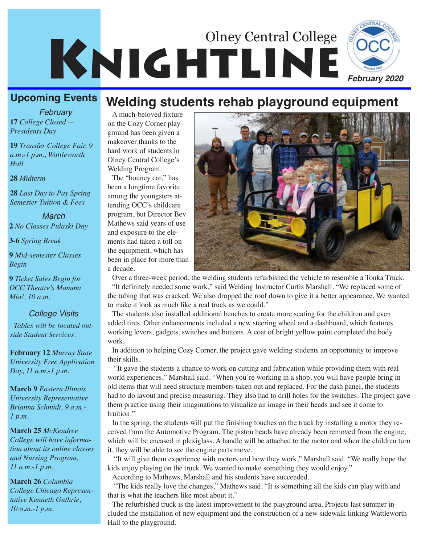# KNIGHTLINE Olney Central College



## **Upcoming Events**

**17** *College Closed — Presidents Day February*

**19** *Transfer College Fair, 9 a.m.-1 p.m., Wattleworth Hall*

### **28** *Midterm*

**28** *Last Day to Pay Spring Semester Tuition & Fees*

**2** *No Classes Pulaski Day March*

**3-6** *Spring Break*

**9** *Mid-semester Classes Begin*

**9** *Ticket Sales Begin for OCC Theatre's Mamma Mia!, 10 a.m.*

### *College Visits*

*Tables will be located outside Student Services.* 

**February 12** *Murray State University Free Application Day, 11 a.m.-1 p.m.*

**March 9** *Eastern Illinois University Representative Brianna Schmidt, 9 a.m.- 1 p.m.*

**March 25** *McKendree College will have information about its online classes and Nursing Program, 11 a.m.-1 p.m.*

**March 26** *Columbia College Chicago Representative Kenneth Guthrie, 10 a.m.-1 p.m.*

## **Welding students rehab playground equipment**

A much-beloved fixture on the Cozy Corner playground has been given a makeover thanks to the hard work of students in Olney Central College's Welding Program.

The "bouncy car," has been a longtime favorite among the youngsters attending OCC's childcare program, but Director Bev Mathews said years of use and exposure to the elements had taken a toll on the equipment, which has been in place for more than a decade.



Over a three-week period, the welding students refurbished the vehicle to resemble a Tonka Truck. "It definitely needed some work," said Welding Instructor Curtis Marshall. "We replaced some of the tubing that was cracked. We also dropped the roof down to give it a better appearance. We wanted to make it look as much like a real truck as we could."

The students also installed additional benches to create more seating for the children and even added tires. Other enhancements included a new steering wheel and a dashboard, which features working levers, gadgets, switches and buttons. A coat of bright yellow paint completed the body work.

In addition to helping Cozy Corner, the project gave welding students an opportunity to improve their skills.

"It gave the students a chance to work on cutting and fabrication while providing them with real world experiences," Marshall said. "When you're working in a shop, you will have people bring in old items that will need structure members taken out and replaced. For the dash panel, the students had to do layout and precise measuring. They also had to drill holes for the switches. The project gave them practice using their imaginations to visualize an image in their heads and see it come to fruition."

In the spring, the students will put the finishing touches on the truck by installing a motor they received from the Automotive Program. The piston heads have already been removed from the engine, which will be encased in plexiglass. A handle will be attached to the motor and when the children turn it, they will be able to see the engine parts move.

"It will give them experience with motors and how they work," Marshall said. "We really hope the kids enjoy playing on the truck. We wanted to make something they would enjoy."

According to Mathews, Marshall and his students have succeeded.

"The kids really love the changes," Mathews said. "It is something all the kids can play with and that is what the teachers like most about it."

The refurbished truck is the latest improvement to the playground area. Projects last summer included the installation of new equipment and the construction of a new sidewalk linking Wattleworth Hall to the playground.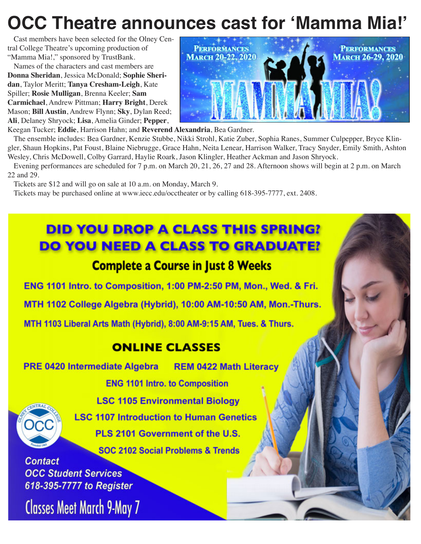## **OCC Theatre announces cast for 'Mamma Mia!'**

Cast members have been selected for the Olney Central College Theatre's upcoming production of "Mamma Mia!," sponsored by TrustBank.

Names of the characters and cast members are **Donna Sheridan**, Jessica McDonald; **Sophie Sheridan**, Taylor Meritt; **Tanya Cresham-Leigh**, Kate Spiller; **Rosie Mulligan**, Brenna Keeler; **Sam Carmichael**, Andrew Pittman; **Harry Bright**, Derek Mason; **Bill Austin**, Andrew Flynn; **Sky**, Dylan Reed; **Ali**, Delaney Shryock; **Lisa**, Amelia Ginder; **Pepper**,



Keegan Tucker; **Eddie**, Harrison Hahn; and **Reverend Alexandria**, Bea Gardner.

The ensemble includes: Bea Gardner, Kenzie Stubbe, Nikki Strohl, Katie Zuber, Sophia Ranes, Summer Culpepper, Bryce Klingler, Shaun Hopkins, Pat Foust, Blaine Niebrugge, Grace Hahn, Neita Lenear, Harrison Walker, Tracy Snyder, Emily Smith, Ashton Wesley, Chris McDowell, Colby Garrard, Haylie Roark, Jason Klingler, Heather Ackman and Jason Shryock.

Evening performances are scheduled for 7 p.m. on March 20, 21, 26, 27 and 28. Afternoon shows will begin at 2 p.m. on March 22 and 29.

Tickets are \$12 and will go on sale at 10 a.m. on Monday, March 9.

Tickets may be purchased online at www.iecc.edu/occtheater or by calling 618-395-7777, ext. 2408.

## **DID YOU DROP A CLASS THIS SPRING? DO YOU NEED A CLASS TO GRADUATE?**

### **Complete a Course in Just 8 Weeks**

ENG 1101 Intro. to Composition, 1:00 PM-2:50 PM, Mon., Wed. & Fri.

MTH 1102 College Algebra (Hybrid), 10:00 AM-10:50 AM, Mon.-Thurs.

MTH 1103 Liberal Arts Math (Hybrid), 8:00 AM-9:15 AM, Tues. & Thurs.

## **ONLINE CLASSES**

**PRE 0420 Intermediate Algebra REM 0422 Math Literacy** 

**ENG 1101 Intro. to Composition** 



**LSC 1105 Environmental Biology LSC 1107 Introduction to Human Genetics** PLS 2101 Government of the U.S.

**SOC 2102 Social Problems & Trends** 

**Contact OCC Student Services** 618-395-7777 to Register

**Classes Meet March 9-May 7**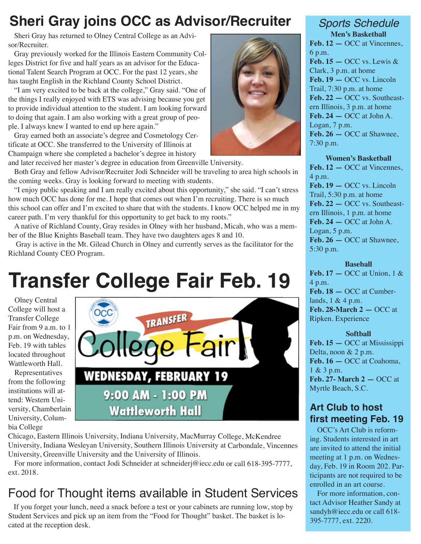## **Sheri Gray joins OCC as Advisor/Recruiter**

Sheri Gray has returned to Olney Central College as an Advisor/Recruiter.

Gray previously worked for the Illinois Eastern Community Colleges District for five and half years as an advisor for the Educational Talent Search Program at OCC. For the past 12 years, she has taught English in the Richland County School District.

"I am very excited to be back at the college," Gray said. "One of the things I really enjoyed with ETS was advising because you get to provide individual attention to the student. I am looking forward to doing that again. I am also working with a great group of people. I always knew I wanted to end up here again."

Gray earned both an associate's degree and Cosmetology Certificate at OCC. She transferred to the University of Illinois at Champaign where she completed a bachelor's degree in history and later received her master's degree in education from Greenville University.

Both Gray and fellow Advisor/Recruiter Jodi Schneider will be traveling to area high schools in the coming weeks. Gray is looking forward to meeting with students.

"I enjoy public speaking and I am really excited about this opportunity," she said. "I can't stress how much OCC has done for me. I hope that comes out when I'm recruiting. There is so much this school can offer and I'm excited to share that with the students. I know OCC helped me in my career path. I'm very thankful for this opportunity to get back to my roots."

A native of Richland County, Gray resides in Olney with her husband, Micah, who was a member of the Blue Knights Baseball team. They have two daughters ages 8 and 10.

Gray is active in the Mt. Gilead Church in Olney and currently serves as the facilitator for the Richland County CEO Program.

## **Transfer College Fair Feb. 19**

Olney Central College will host a Transfer College Fair from 9 a.m. to 1 p.m. on Wednesday, Feb. 19 with tables located throughout Wattleworth Hall.

Representatives from the following institutions will attend: Western University, Chamberlain University, Columbia College



Chicago, Eastern Illinois University, Indiana University, MacMurray College, McKendree University, Indiana Wesleyan University, Southern Illinois University at Carbondale, Vincennes University, Greenville University and the University of Illinois.

For more information, contact Jodi Schneider at schneiderj@iecc.edu or call 618-395-7777, ext. 2018.

## Food for Thought items available in Student Services

If you forget your lunch, need a snack before a test or your cabinets are running low, stop by Student Services and pick up an item from the "Food for Thought" basket. The basket is located at the reception desk.



### *Sports Schedule* **Men's Basketball**

**Feb. 12 —** OCC at Vincennes, 6 p.m. Feb.  $15 - OCC$  vs. Lewis  $\&$ Clark, 3 p.m. at home **Feb. 19 —** OCC vs. Lincoln Trail, 7:30 p.m. at home **Feb. 22 —** OCC vs. Southeastern Illinois, 3 p.m. at home **Feb. 24 —** OCC at John A. Logan, 7 p.m. **Feb. 26 —** OCC at Shawnee, 7:30 p.m.

### **Women's Basketball**

**Feb. 12 —** OCC at Vincennes, 4 p.m. **Feb. 19 —** OCC vs. Lincoln Trail, 5:30 p.m. at home **Feb. 22 —** OCC vs. Southeastern Illinois, 1 p.m. at home **Feb. 24 —** OCC at John A. Logan, 5 p.m. **Feb. 26 —** OCC at Shawnee, 5:30 p.m.

### **Baseball**

**Feb. 17 —** OCC at Union, 1 & 4 p.m. **Feb. 18 —** OCC at Cumberlands, 1 & 4 p.m. **Feb. 28-March 2 —** OCC at Ripken. Experience

### **Softball**

**Feb. 15 —** OCC at Mississippi Delta, noon & 2 p.m. **Feb. 16 —** OCC at Coahoma, 1 & 3 p.m. **Feb. 27- March 2 —** OCC at Myrtle Beach, S.C.

### **Art Club to host first meeting Feb. 19**

OCC's Art Club is reforming. Students interested in art are invited to attend the initial meeting at 1 p.m. on Wednesday, Feb. 19 in Room 202. Participants are not required to be enrolled in an art course.

For more information, contact Advisor Heather Sandy at sandyh@iecc.edu or call 618-395-7777, ext. 2220.